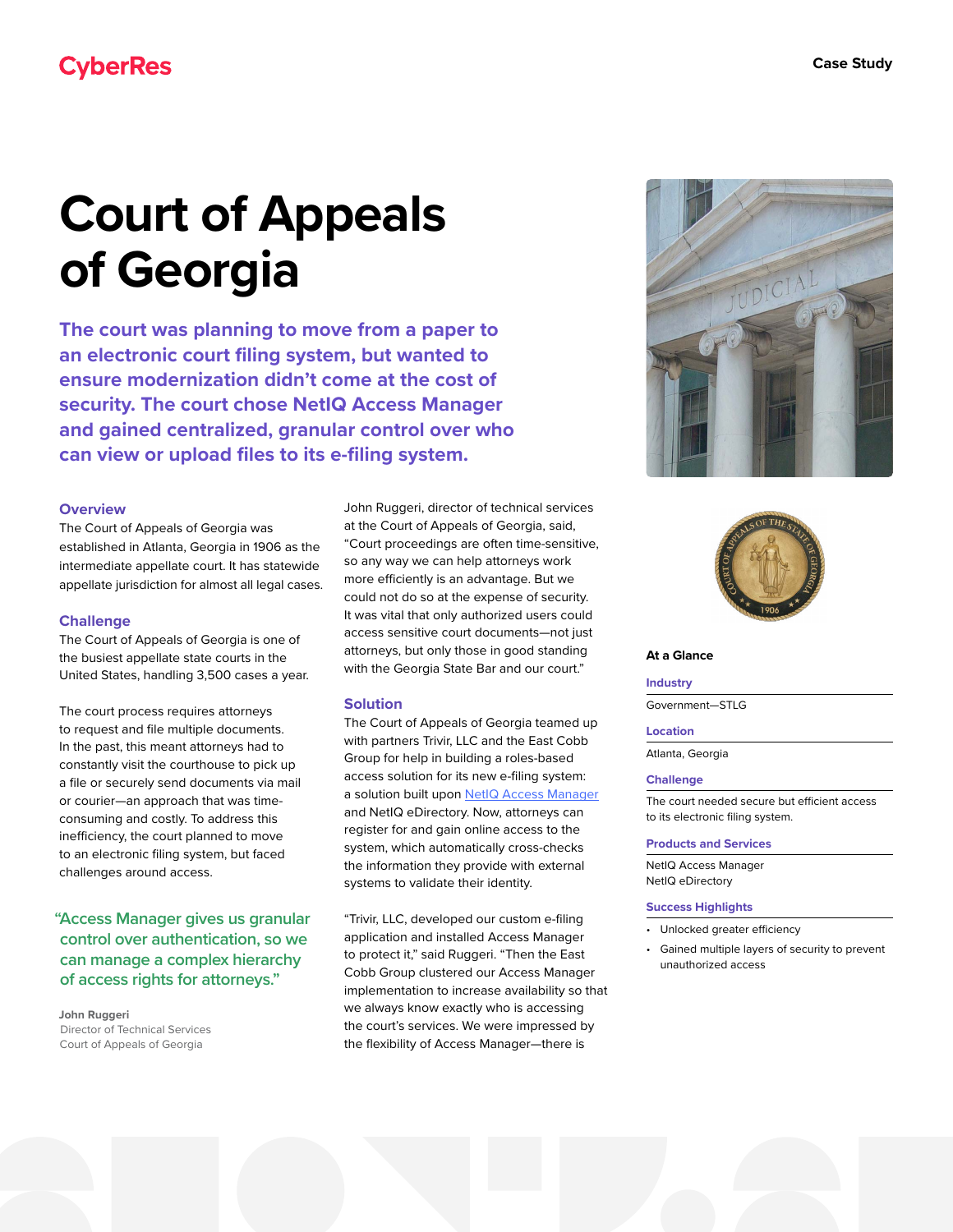# **Court of Appeals of Georgia**

**The court was planning to move from a paper to an electronic court filing system, but wanted to ensure modernization didn't come at the cost of security. The court chose NetIQ Access Manager and gained centralized, granular control over who can view or upload files to its e-filing system.**

# **Overview**

The Court of Appeals of Georgia was established in Atlanta, Georgia in 1906 as the intermediate appellate court. It has statewide appellate jurisdiction for almost all legal cases.

# **Challenge**

The Court of Appeals of Georgia is one of the busiest appellate state courts in the United States, handling 3,500 cases a year.

The court process requires attorneys to request and file multiple documents. In the past, this meant attorneys had to constantly visit the courthouse to pick up a file or securely send documents via mail or courier—an approach that was timeconsuming and costly. To address this inefficiency, the court planned to move to an electronic filing system, but faced challenges around access.

**"Access Manager gives us granular control over authentication, so we can manage a complex hierarchy of access rights for attorneys."**

**John Ruggeri** Director of Technical Services Court of Appeals of Georgia

John Ruggeri, director of technical services at the Court of Appeals of Georgia, said, "Court proceedings are often time-sensitive, so any way we can help attorneys work more efficiently is an advantage. But we could not do so at the expense of security. It was vital that only authorized users could access sensitive court documents—not just attorneys, but only those in good standing with the Georgia State Bar and our court."

# **Solution**

The Court of Appeals of Georgia teamed up with partners Trivir, LLC and the East Cobb Group for help in building a roles-based access solution for its new e-filing system: a solution built upon [NetIQ Access Manager](https://www.microfocus.com/en-us/cyberres/identity-access-management/access-manager) and NetIQ eDirectory. Now, attorneys can register for and gain online access to the system, which automatically cross-checks the information they provide with external systems to validate their identity.

"Trivir, LLC, developed our custom e-filing application and installed Access Manager to protect it," said Ruggeri. "Then the East Cobb Group clustered our Access Manager implementation to increase availability so that we always know exactly who is accessing the court's services. We were impressed by the flexibility of Access Manager—there is





#### **At a Glance**

#### **Industry**

Government—STLG

#### **Location**

Atlanta, Georgia

#### **Challenge**

The court needed secure but efficient access to its electronic filing system.

# **Products and Services**

NetIQ Access Manager NetIQ eDirectory

#### **Success Highlights**

- Unlocked greater efficiency
- Gained multiple layers of security to prevent unauthorized access